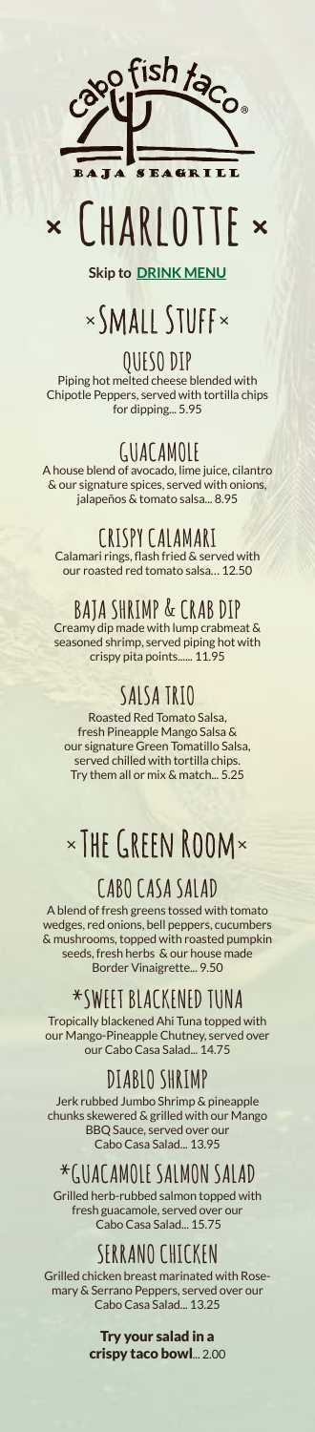

# **× Charlotte ×**

**Skip to [DRINK MENU](#page-4-0)**

# ×Small Stuff×

**QUESO DIP** Piping hot melted cheese blended with Chipotle Peppers, served with tortilla chips for dipping... 5.95

**GUACAMOLE** A house blend of avocado, lime juice, cilantro & our signature spices, served with onions, jalapeños & tomato salsa... 8.95

## **CRISPY CALAMARI**

Calamari rings, flash fried & served with our roasted red tomato salsa… 12.50

# **BAJA SHRIMP & CRAB DIP**

Creamy dip made with lump crabmeat & seasoned shrimp, served piping hot with crispy pita points...... 11.95

# **SALSA TRIO**

Roasted Red Tomato Salsa, fresh Pineapple Mango Salsa & our signature Green Tomatillo Salsa, served chilled with tortilla chips. Try them all or mix & match... 5.25

# ×The Green Room×

# **CABO CASA SALAD**

A blend of fresh greens tossed with tomato wedges, red onions, bell peppers, cucumbers & mushrooms, topped with roasted pumpkin seeds, fresh herbs & our house made Border Vinaigrette... 9.50

# **\*SWEET BLACKENED TUNA**

Tropically blackened Ahi Tuna topped with our Mango-Pineapple Chutney, served over our Cabo Casa Salad... 14.75

# **DIABLO SHRIMP**

Jerk rubbed Jumbo Shrimp & pineapple chunks skewered & grilled with our Mango BBQ Sauce, served over our Cabo Casa Salad... 13.95

# **\*GUACAMOLE SALMON SALAD**

Grilled herb-rubbed salmon topped with fresh guacamole, served over our Cabo Casa Salad... 15.75

## **SERRANO CHICKEN**

Grilled chicken breast marinated with Rosemary & Serrano Peppers, served over our Cabo Casa Salad... 13.25

> Try your salad in a crispy taco bowl... 2.00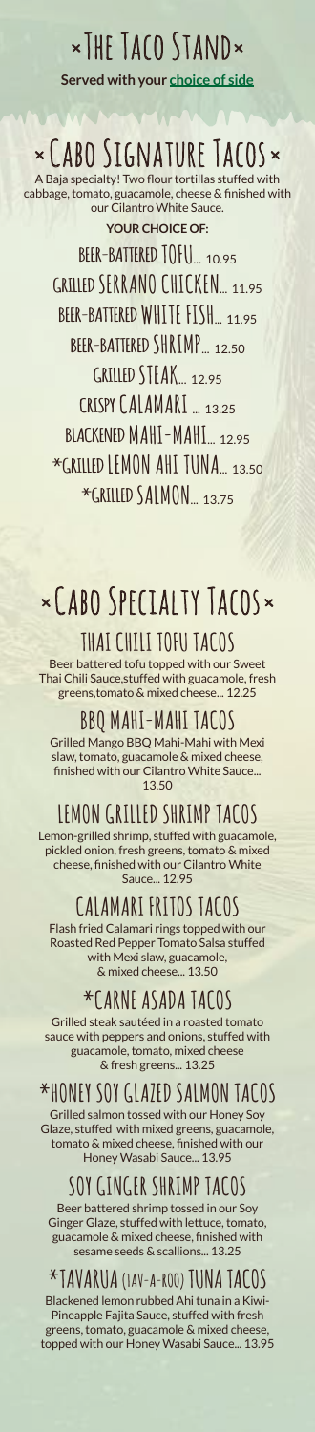# ×The Taco Stand× **Served with your [choice of side](#page-3-0)**

# ×Cabo Signature Tacos×

**YOUR CHOICE OF:** A Baja specialty! Two flour tortillas stuffed with cabbage, tomato, guacamole, cheese & finished with our Cilantro White Sauce.

**BEER-BATTERED TOFU**... 10.95 **GRILLED SERRANO CHICKEN**<sub>... 11.95</sub> **BEER-BATTERED WHITE FISH**... 11.95 **BEER-BATTERED SHRIMP**... 12.50 **GRILLED STFAK** 12.95 **CRISPY CALAMARI** ... 13.25 **BLACKENED MAHI-MAHI**... 12.95 **\*GRILLED LEMON AHI TUNA**... 13.50 **\*GRILLED SALMON**... 13.75

# ×Cabo Specialty Tacos×

### **THAI CHILI TOFU TACOS**

Beer battered tofu topped with our Sweet Thai Chili Sauce,stuffed with guacamole, fresh greens,tomato & mixed cheese... 12.25

#### **BBQ MAHI-MAHI TACOS**

Grilled Mango BBQ Mahi-Mahi with Mexi slaw, tomato, guacamole & mixed cheese, finished with our Cilantro White Sauce... 13.50

## **LEMON GRILLED SHRIMP TACOS**

Lemon-grilled shrimp, stuffed with guacamole, pickled onion, fresh greens, tomato & mixed cheese, finished with our Cilantro White Sauce... 12.95

## **CALAMARI FRITOS TACOS**

Flash fried Calamari rings topped with our Roasted Red Pepper Tomato Salsa stuffed with Mexi slaw, guacamole, & mixed cheese... 13.50

### **\*CARNE ASADA TACOS**

Grilled steak sautéed in a roasted tomato sauce with peppers and onions, stuffed with guacamole, tomato, mixed cheese & fresh greens... 13.25

## **\*HONEY SOY GLAZED SALMON TACOS**

Grilled salmon tossed with our Honey Soy Glaze, stuffed with mixed greens, guacamole, tomato & mixed cheese, finished with our Honey Wasabi Sauce... 13.95

## **SOY GINGER SHRIMP TACOS**

Beer battered shrimp tossed in our Soy Ginger Glaze, stuffed with lettuce, tomato, guacamole & mixed cheese, finished with sesame seeds & scallions... 13.25

#### **\*TAVARUA (TAV-A-ROO) TUNA TACOS**

Blackened lemon rubbed Ahi tuna in a Kiwi-Pineapple Fajita Sauce, stuffed with fresh greens, tomato, guacamole & mixed cheese, topped with our Honey Wasabi Sauce... 13.95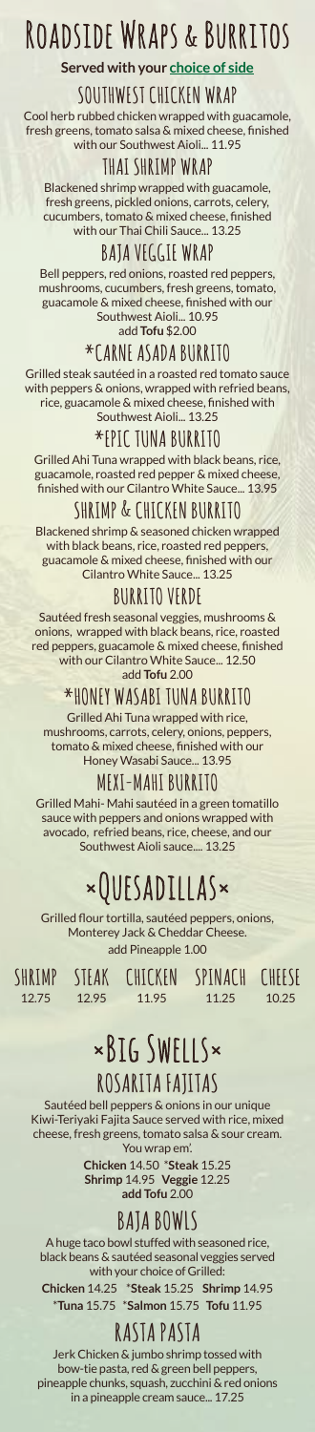# Roadside Wraps & Burritos

**Served with your [choice of side](#page-3-0)**

#### **SOUTHWEST CHICKEN WRAP**

Cool herb rubbed chicken wrapped with guacamole, fresh greens, tomato salsa & mixed cheese, finished with our Southwest Aioli... 11.95

#### **THAI SHRIMP WRAP**

Blackened shrimp wrapped with guacamole, fresh greens, pickled onions, carrots, celery, cucumbers, tomato & mixed cheese, finished with our Thai Chili Sauce... 13.25

#### **BAJA VEGGIE WRAP**

Bell peppers, red onions, roasted red peppers, mushrooms, cucumbers, fresh greens, tomato, guacamole & mixed cheese, finished with our Southwest Aioli... 10.95 add **Tofu** \$2.00

#### **\*CARNE ASADA BURRITO**

Grilled steak sautéed in a roasted red tomato sauce with peppers & onions, wrapped with refried beans, rice, guacamole & mixed cheese, finished with Southwest Aioli... 13.25

#### **\*EPIC TUNA BURRITO**

Grilled Ahi Tuna wrapped with black beans, rice, guacamole, roasted red pepper & mixed cheese, finished with our Cilantro White Sauce... 13.95

#### **SHRIMP & CHICKEN BURRITO**

Blackened shrimp & seasoned chicken wrapped with black beans, rice, roasted red peppers guacamole & mixed cheese, finished with our Cilantro White Sauce... 13.25

#### **BURRITO VERDE**

Sautéed fresh seasonal veggies, mushrooms & onions, wrapped with black beans, rice, roasted red peppers, guacamole & mixed cheese, finished with our Cilantro White Sauce... 12.50 add **Tofu** 2.00

#### **\*HONEY WASABI TUNA BURRITO**

Grilled Ahi Tuna wrapped with rice, mushrooms, carrots, celery, onions, peppers, tomato & mixed cheese, finished with our Honey Wasabi Sauce... 13.95

#### **MEXI-MAHI BURRITO**

Grilled Mahi- Mahi sautéed in a green tomatillo sauce with peppers and onions wrapped with avocado, refried beans, rice, cheese, and our Southwest Aioli sauce.... 13.25

# ×Quesadillas×

Grilled flour tortilla, sautéed peppers, onions, Monterey Jack & Cheddar Cheese. add Pineapple 1.00

**SHRIMP** 12.75

12.95

**STEAK CHICKEN SPINACH CHEESE** 11.95

11.25

10.25

# ×Big Swells× **ROSARITA FAJITAS**

Sautéed bell peppers & onions in our unique Kiwi-Teriyaki Fajita Sauce served with rice, mixed cheese, fresh greens, tomato salsa & sour cream. You wrap em'.

**Chicken** 14.50 \***Steak** 15.25 **Shrimp** 14.95 **Veggie** 12.25 **add Tofu** 2.00

## **BAJA BOWLS**

A huge taco bowl stuffed with seasoned rice, black beans & sautéed seasonal veggies served with your choice of Grilled:

**Chicken** 14.25 \***Steak** 15.25 **Shrimp** 14.95 \***Tuna** 15.75 \***Salmon** 15.75 **Tofu** 11.95

## **RASTA PASTA**

Jerk Chicken & jumbo shrimp tossed with bow-tie pasta, red & green bell peppers, pineapple chunks, squash, zucchini & red onions in a pineapple cream sauce... 17.25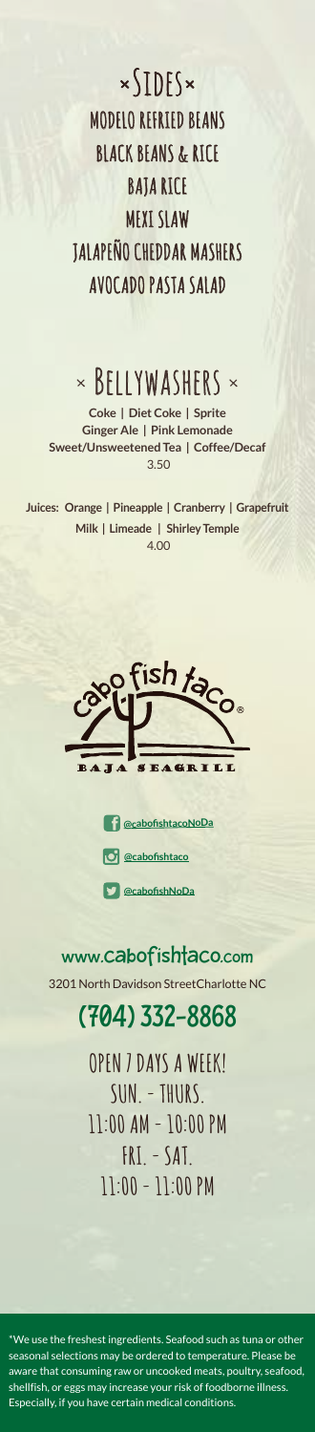<span id="page-3-0"></span> $x$  $\left\{\right]\right\}$ **MODELO REFRIED BEANS BLACK BEANS & RICE BAJA RICE MEXI SLAW JALAPEÑO CHEDDAR MASHERS AVOCADO PASTA SALAD**

# $\times$  BELLYWASHERS  $\times$

**Coke | Diet Coke | Sprite Ginger Ale | Pink Lemonade Sweet/Unsweetened Tea | Coffee/Decaf** 3.50

**Juices: Orange | Pineapple | Cranberry | Grapefruit Milk | Limeade | Shirley Temple** 4.00





[www.cabofishtaco.com](https://www.cabofishtaco.com/charlotte/) 3201 North Davidson StreetCharlotte NC

# [\(704\) 332-8868](tel:7043328868)

**OPEN 7 DAYS A WEEK! SUN. - THURS. 11:00 AM - 10:00 PM FRI. - SAT. 11:00 - 11:00 PM** 

 $^\ast$ We use the freshest ingredients. Seafood such as tuna or othe seasonal selections may be ordered to temperature. Please be aware that consuming raw or uncooked meats, poultry, seafood, shellfish, or eggs may increase your risk of foodborne illness. Especially, if you have certain medical conditions.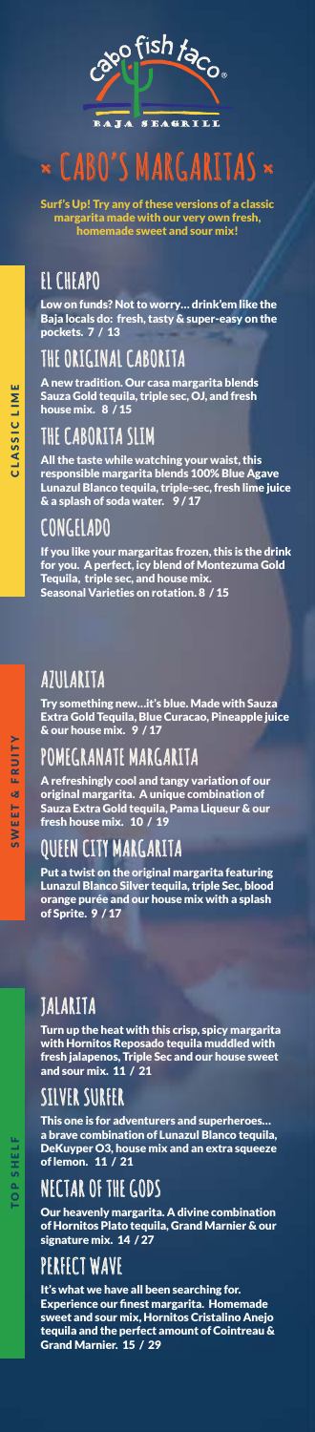

# <span id="page-4-0"></span>**× CABO'S MARGARITAS ×**

Surf's Up! Try any of these versions of a classic margarita made with our very own fresh, homemade sweet and sour mix!

# **EL CHEAPO**

Low on funds? Not to worry… drink'em like the Baja locals do: fresh, tasty & super-easy on the pockets. 7 / 13

# **THE ORIGINAL CABORITA**

A new tradition. Our casa margarita blends Sauza Gold tequila, triple sec, OJ, and fresh house mix. 8 / 15

### **THE CABORITA SLIM**

All the taste while watching your waist, this responsible margarita blends 100% Blue Agave Lunazul Blanco tequila, triple-sec, fresh lime juice & a splash of soda water. 9 / 17

#### **CONGELADO**

If you like your margaritas frozen, this is the drink for you. A perfect, icy blend of Montezuma Gold Tequila, triple sec, and house mix. Seasonal Varieties on rotation. 8 / 15

# **AZULARITA**

Try something new…it's blue. Made with Sauza Extra Gold Tequila, Blue Curacao, Pineapple juice & our house mix. 9 / 17

## **POMEGRANATE MARGARITA**

A refreshingly cool and tangy variation of our original margarita. A unique combination of Sauza Extra Gold tequila, Pama Liqueur & our fresh house mix. 10 / 19

## **QUEEN CITY MARGARITA**

Put a twist on the original margarita featuring Lunazul Blanco Silver tequila, triple Sec, blood orange purée and our house mix with a splash of Sprite. 9 / 17

# **JALARITA**

Turn up the heat with this crisp, spicy margarita with Hornitos Reposado tequila muddled with fresh jalapenos, Triple Sec and our house sweet and sour mix. 11 / 21

# **SILVER SURFER**

This one is for adventurers and superheroes… a brave combination of Lunazul Blanco tequila, DeKuyper O3, house mix and an extra squeeze of lemon. 11 / 21

### **NECTAR OF THE GODS**

Our heavenly margarita. A divine combination of Hornitos Plato tequila, Grand Marnier & our signature mix. 14 / 27

## **PERFECT WAVE**

It's what we have all been searching for. Experience our finest margarita. Homemade sweet and sour mix, Hornitos Cristalino Anejo tequila and the perfect amount of Cointreau & Grand Marnier. 15 / 29